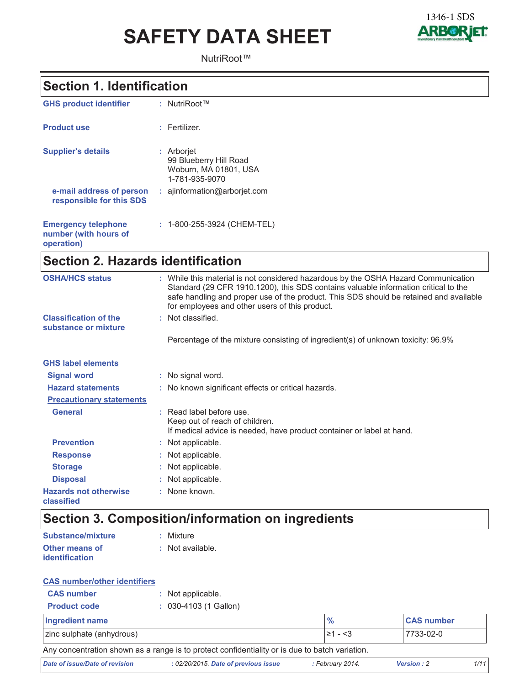# **SAFETY DATA SHEET**



NutriRoot™

### **Section 1. Identification**

| <b>GHS product identifier</b>                                     | : NutriRoot™                                                                    |
|-------------------------------------------------------------------|---------------------------------------------------------------------------------|
| <b>Product use</b>                                                | : Fertilizer.                                                                   |
| <b>Supplier's details</b>                                         | : Arborjet<br>99 Blueberry Hill Road<br>Woburn, MA 01801, USA<br>1-781-935-9070 |
| e-mail address of person<br>responsible for this SDS              | $:$ ajinformation@arboriet.com                                                  |
| <b>Emergency telephone</b><br>number (with hours of<br>operation) | : 1-800-255-3924 (CHEM-TEL)                                                     |

# Section 2. Hazards identification

| <b>OSHA/HCS status</b>                               | : While this material is not considered hazardous by the OSHA Hazard Communication<br>Standard (29 CFR 1910.1200), this SDS contains valuable information critical to the<br>safe handling and proper use of the product. This SDS should be retained and available<br>for employees and other users of this product. |
|------------------------------------------------------|-----------------------------------------------------------------------------------------------------------------------------------------------------------------------------------------------------------------------------------------------------------------------------------------------------------------------|
| <b>Classification of the</b><br>substance or mixture | : Not classified.                                                                                                                                                                                                                                                                                                     |
|                                                      | Percentage of the mixture consisting of ingredient(s) of unknown toxicity: 96.9%                                                                                                                                                                                                                                      |
| <b>GHS label elements</b>                            |                                                                                                                                                                                                                                                                                                                       |
| <b>Signal word</b>                                   | : No signal word.                                                                                                                                                                                                                                                                                                     |
| <b>Hazard statements</b>                             | : No known significant effects or critical hazards.                                                                                                                                                                                                                                                                   |
| <b>Precautionary statements</b>                      |                                                                                                                                                                                                                                                                                                                       |
| <b>General</b>                                       | : Read label before use.<br>Keep out of reach of children.<br>If medical advice is needed, have product container or label at hand.                                                                                                                                                                                   |
| <b>Prevention</b>                                    | : Not applicable.                                                                                                                                                                                                                                                                                                     |
| <b>Response</b>                                      | : Not applicable.                                                                                                                                                                                                                                                                                                     |
| <b>Storage</b>                                       | : Not applicable.                                                                                                                                                                                                                                                                                                     |
| <b>Disposal</b>                                      | : Not applicable.                                                                                                                                                                                                                                                                                                     |
| <b>Hazards not otherwise</b><br>classified           | : None known.                                                                                                                                                                                                                                                                                                         |
|                                                      |                                                                                                                                                                                                                                                                                                                       |

# Section 3. Composition/information on ingredients

| Substance/mixture     | : Mixture        |
|-----------------------|------------------|
| <b>Other means of</b> | : Not available. |
| <b>identification</b> |                  |

#### **CAS number/other identifiers**

| <b>CAS number</b>                                                                              | : Not applicable.       |                |                   |
|------------------------------------------------------------------------------------------------|-------------------------|----------------|-------------------|
| <b>Product code</b>                                                                            | $: 030-4103$ (1 Gallon) |                |                   |
| Ingredient name                                                                                |                         | $\frac{10}{6}$ | <b>CAS number</b> |
| zinc sulphate (anhydrous)                                                                      |                         | $\geq 1 - 3$   | 7733-02-0         |
| Any concentration shown as a range is to protect confidentiality or is due to batch variation. |                         |                |                   |

Date of issue/Date of revision : 02/20/2015. Date of previous issue : February 2014. Version: 2  $1/11$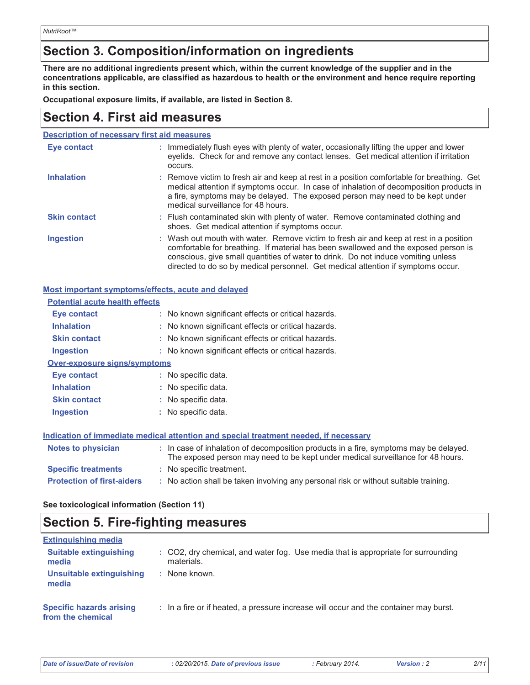### Section 3. Composition/information on ingredients

There are no additional ingredients present which, within the current knowledge of the supplier and in the concentrations applicable, are classified as hazardous to health or the environment and hence require reporting in this section.

Occupational exposure limits, if available, are listed in Section 8.

### **Section 4. First aid measures**

| <b>Description of necessary first aid measures</b> |
|----------------------------------------------------|
|----------------------------------------------------|

| Eye contact         | : Immediately flush eyes with plenty of water, occasionally lifting the upper and lower<br>eyelids. Check for and remove any contact lenses. Get medical attention if irritation<br>occurs.                                                                                                                                                            |
|---------------------|--------------------------------------------------------------------------------------------------------------------------------------------------------------------------------------------------------------------------------------------------------------------------------------------------------------------------------------------------------|
| <b>Inhalation</b>   | : Remove victim to fresh air and keep at rest in a position comfortable for breathing. Get<br>medical attention if symptoms occur. In case of inhalation of decomposition products in<br>a fire, symptoms may be delayed. The exposed person may need to be kept under<br>medical surveillance for 48 hours.                                           |
| <b>Skin contact</b> | : Flush contaminated skin with plenty of water. Remove contaminated clothing and<br>shoes. Get medical attention if symptoms occur.                                                                                                                                                                                                                    |
| <b>Ingestion</b>    | : Wash out mouth with water. Remove victim to fresh air and keep at rest in a position<br>comfortable for breathing. If material has been swallowed and the exposed person is<br>conscious, give small quantities of water to drink. Do not induce vomiting unless<br>directed to do so by medical personnel. Get medical attention if symptoms occur. |

#### Most important symptoms/effects, acute and delayed

| <b>Potential acute health effects</b> |                                                                                                                                                                          |
|---------------------------------------|--------------------------------------------------------------------------------------------------------------------------------------------------------------------------|
| Eye contact                           | : No known significant effects or critical hazards.                                                                                                                      |
| <b>Inhalation</b>                     | : No known significant effects or critical hazards.                                                                                                                      |
| <b>Skin contact</b>                   | : No known significant effects or critical hazards.                                                                                                                      |
| Ingestion                             | : No known significant effects or critical hazards.                                                                                                                      |
| Over-exposure signs/symptoms          |                                                                                                                                                                          |
| <b>Eye contact</b>                    | : No specific data.                                                                                                                                                      |
| <b>Inhalation</b>                     | : No specific data.                                                                                                                                                      |
| <b>Skin contact</b>                   | : No specific data.                                                                                                                                                      |
| Ingestion                             | : No specific data.                                                                                                                                                      |
|                                       |                                                                                                                                                                          |
|                                       | Indication of immediate medical attention and special treatment needed, if necessary                                                                                     |
| Notes to physician                    | : In case of inhalation of decomposition products in a fire, symptoms may be delayed.<br>The exposed person may need to be kept under medical surveillance for 48 hours. |
| <b>Specific treatments</b>            | : No specific treatment.                                                                                                                                                 |
| <b>Protection of first-aiders</b>     | : No action shall be taken involving any personal risk or without suitable training.                                                                                     |

#### See toxicological information (Section 11)

### **Section 5. Fire-fighting measures**

| <b>Extinguishing media</b>                           |                                                                                                 |
|------------------------------------------------------|-------------------------------------------------------------------------------------------------|
| <b>Suitable extinguishing</b><br>media               | : CO2, dry chemical, and water fog. Use media that is appropriate for surrounding<br>materials. |
| Unsuitable extinguishing<br>media                    | None known.                                                                                     |
| <b>Specific hazards arising</b><br>from the chemical | : In a fire or if heated, a pressure increase will occur and the container may burst.           |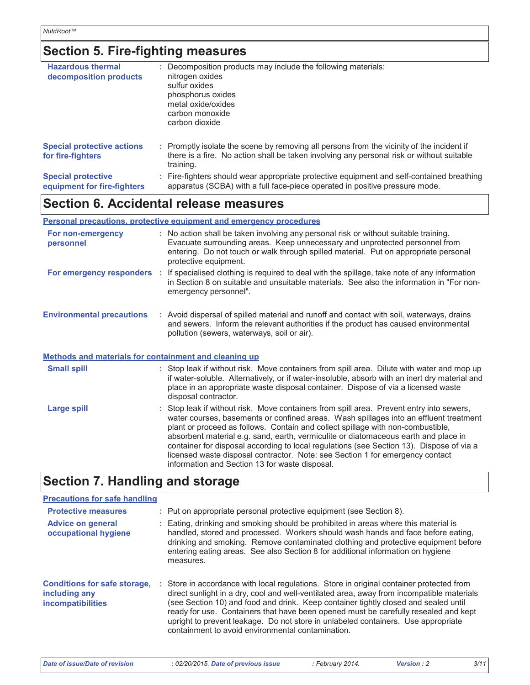# Section 5. Fire-fighting measures

| <b>Hazardous thermal</b><br>decomposition products       | : Decomposition products may include the following materials:<br>nitrogen oxides<br>sulfur oxides<br>phosphorus oxides<br>metal oxide/oxides<br>carbon monoxide<br>carbon dioxide                   |
|----------------------------------------------------------|-----------------------------------------------------------------------------------------------------------------------------------------------------------------------------------------------------|
| <b>Special protective actions</b><br>for fire-fighters   | : Promptly isolate the scene by removing all persons from the vicinity of the incident if<br>there is a fire. No action shall be taken involving any personal risk or without suitable<br>training. |
| <b>Special protective</b><br>equipment for fire-fighters | : Fire-fighters should wear appropriate protective equipment and self-contained breathing<br>apparatus (SCBA) with a full face-piece operated in positive pressure mode.                            |

### Section 6. Accidental release measures

#### Personal precautions, protective equipment and emergency procedures

| For non-emergency<br>personnel                               | : No action shall be taken involving any personal risk or without suitable training.<br>Evacuate surrounding areas. Keep unnecessary and unprotected personnel from<br>entering. Do not touch or walk through spilled material. Put on appropriate personal<br>protective equipment.                                                                                                                                                                                                                                                     |
|--------------------------------------------------------------|------------------------------------------------------------------------------------------------------------------------------------------------------------------------------------------------------------------------------------------------------------------------------------------------------------------------------------------------------------------------------------------------------------------------------------------------------------------------------------------------------------------------------------------|
|                                                              | For emergency responders : If specialised clothing is required to deal with the spillage, take note of any information<br>in Section 8 on suitable and unsuitable materials. See also the information in "For non-<br>emergency personnel".                                                                                                                                                                                                                                                                                              |
| <b>Environmental precautions</b>                             | : Avoid dispersal of spilled material and runoff and contact with soil, waterways, drains<br>and sewers. Inform the relevant authorities if the product has caused environmental<br>pollution (sewers, waterways, soil or air).                                                                                                                                                                                                                                                                                                          |
| <b>Methods and materials for containment and cleaning up</b> |                                                                                                                                                                                                                                                                                                                                                                                                                                                                                                                                          |
| <b>Small spill</b>                                           | : Stop leak if without risk. Move containers from spill area. Dilute with water and mop up<br>if water-soluble. Alternatively, or if water-insoluble, absorb with an inert dry material and<br>place in an appropriate waste disposal container. Dispose of via a licensed waste<br>disposal contractor.                                                                                                                                                                                                                                 |
| <b>Large spill</b>                                           | : Stop leak if without risk. Move containers from spill area. Prevent entry into sewers,<br>water courses, basements or confined areas. Wash spillages into an effluent treatment<br>plant or proceed as follows. Contain and collect spillage with non-combustible,<br>absorbent material e.g. sand, earth, vermiculite or diatomaceous earth and place in<br>container for disposal according to local regulations (see Section 13). Dispose of via a<br>licensed waste disposal contractor. Note: see Section 1 for emergency contact |

### **Section 7. Handling and storage**

| <b>Precautions for safe handling</b>                                             |                                                                                                                                                                                                                                                                                                                                                                                                                                                                                                               |
|----------------------------------------------------------------------------------|---------------------------------------------------------------------------------------------------------------------------------------------------------------------------------------------------------------------------------------------------------------------------------------------------------------------------------------------------------------------------------------------------------------------------------------------------------------------------------------------------------------|
| <b>Protective measures</b>                                                       | : Put on appropriate personal protective equipment (see Section 8).                                                                                                                                                                                                                                                                                                                                                                                                                                           |
| <b>Advice on general</b><br>occupational hygiene                                 | : Eating, drinking and smoking should be prohibited in areas where this material is<br>handled, stored and processed. Workers should wash hands and face before eating,<br>drinking and smoking. Remove contaminated clothing and protective equipment before<br>entering eating areas. See also Section 8 for additional information on hygiene<br>measures.                                                                                                                                                 |
| <b>Conditions for safe storage.</b><br>including any<br><b>incompatibilities</b> | : Store in accordance with local regulations. Store in original container protected from<br>direct sunlight in a dry, cool and well-ventilated area, away from incompatible materials<br>(see Section 10) and food and drink. Keep container tightly closed and sealed until<br>ready for use. Containers that have been opened must be carefully resealed and kept<br>upright to prevent leakage. Do not store in unlabeled containers. Use appropriate<br>containment to avoid environmental contamination. |

information and Section 13 for waste disposal.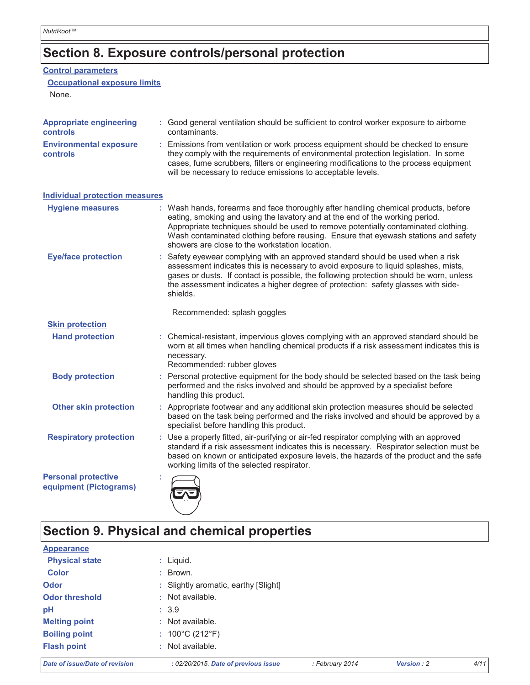### Section 8. Exposure controls/personal protection

#### **Control parameters**

#### **Occupational exposure limits**

None.

| <b>Appropriate engineering</b><br>controls           | : Good general ventilation should be sufficient to control worker exposure to airborne<br>contaminants.                                                                                                                                                                                                                                                                                           |
|------------------------------------------------------|---------------------------------------------------------------------------------------------------------------------------------------------------------------------------------------------------------------------------------------------------------------------------------------------------------------------------------------------------------------------------------------------------|
| <b>Environmental exposure</b><br>controls            | : Emissions from ventilation or work process equipment should be checked to ensure<br>they comply with the requirements of environmental protection legislation. In some<br>cases, fume scrubbers, filters or engineering modifications to the process equipment<br>will be necessary to reduce emissions to acceptable levels.                                                                   |
| <b>Individual protection measures</b>                |                                                                                                                                                                                                                                                                                                                                                                                                   |
| <b>Hygiene measures</b>                              | : Wash hands, forearms and face thoroughly after handling chemical products, before<br>eating, smoking and using the lavatory and at the end of the working period.<br>Appropriate techniques should be used to remove potentially contaminated clothing.<br>Wash contaminated clothing before reusing. Ensure that eyewash stations and safety<br>showers are close to the workstation location. |
| <b>Eye/face protection</b>                           | : Safety eyewear complying with an approved standard should be used when a risk<br>assessment indicates this is necessary to avoid exposure to liquid splashes, mists,<br>gases or dusts. If contact is possible, the following protection should be worn, unless<br>the assessment indicates a higher degree of protection: safety glasses with side-<br>shields.                                |
|                                                      | Recommended: splash goggles                                                                                                                                                                                                                                                                                                                                                                       |
| <b>Skin protection</b>                               |                                                                                                                                                                                                                                                                                                                                                                                                   |
| <b>Hand protection</b>                               | : Chemical-resistant, impervious gloves complying with an approved standard should be<br>worn at all times when handling chemical products if a risk assessment indicates this is<br>necessary.<br>Recommended: rubber gloves                                                                                                                                                                     |
| <b>Body protection</b>                               | : Personal protective equipment for the body should be selected based on the task being<br>performed and the risks involved and should be approved by a specialist before<br>handling this product.                                                                                                                                                                                               |
| <b>Other skin protection</b>                         | : Appropriate footwear and any additional skin protection measures should be selected<br>based on the task being performed and the risks involved and should be approved by a<br>specialist before handling this product.                                                                                                                                                                         |
| <b>Respiratory protection</b>                        | : Use a properly fitted, air-purifying or air-fed respirator complying with an approved<br>standard if a risk assessment indicates this is necessary. Respirator selection must be<br>based on known or anticipated exposure levels, the hazards of the product and the safe<br>working limits of the selected respirator.                                                                        |
| <b>Personal protective</b><br>equipment (Pictograms) |                                                                                                                                                                                                                                                                                                                                                                                                   |

# Section 9. Physical and chemical properties

| Date of issue/Date of revision | : 02/20/2015. Date of previous issue | : February 2014 | <b>Version: 2</b> | 4/11 |
|--------------------------------|--------------------------------------|-----------------|-------------------|------|
| <b>Flash point</b>             | : Not available.                     |                 |                   |      |
| <b>Boiling point</b>           | : $100^{\circ}$ C (212 $^{\circ}$ F) |                 |                   |      |
| <b>Melting point</b>           | : Not available.                     |                 |                   |      |
| pH                             | : 3.9                                |                 |                   |      |
| <b>Odor threshold</b>          | $:$ Not available.                   |                 |                   |      |
| <b>Odor</b>                    | : Slightly aromatic, earthy [Slight] |                 |                   |      |
| <b>Color</b>                   | : Brown.                             |                 |                   |      |
| <b>Physical state</b>          | $:$ Liquid.                          |                 |                   |      |
| <b>Appearance</b>              |                                      |                 |                   |      |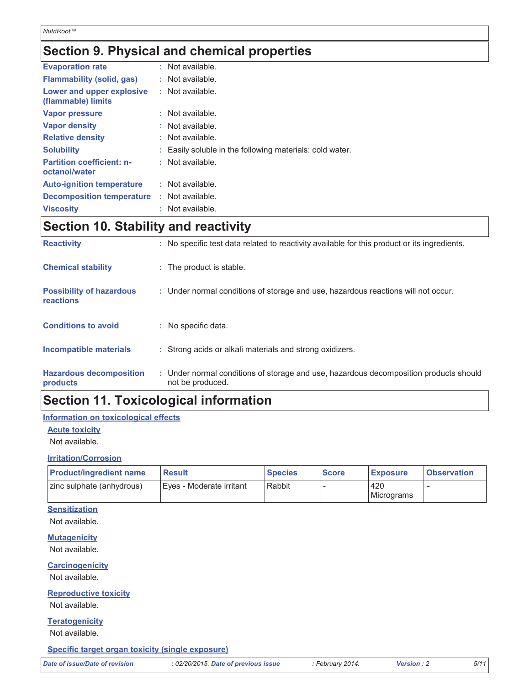### Section 9. Physical and chemical properties

| <b>Evaporation rate</b>                           | : Not available.                                         |
|---------------------------------------------------|----------------------------------------------------------|
| <b>Flammability (solid, gas)</b>                  | : Not available.                                         |
| Lower and upper explosive<br>(flammable) limits   | : Not available.                                         |
| <b>Vapor pressure</b>                             | : Not available.                                         |
| Vapor density                                     | : Not available.                                         |
| <b>Relative density</b>                           | : Not available.                                         |
| <b>Solubility</b>                                 | : Easily soluble in the following materials: cold water. |
| <b>Partition coefficient: n-</b><br>octanol/water | : Not available.                                         |
| <b>Auto-ignition temperature</b>                  | : Not available.                                         |
| <b>Decomposition temperature</b>                  | : Not available.                                         |
| <b>Viscosity</b>                                  | : Not available.                                         |

### **Section 10. Stability and reactivity**

| <b>Hazardous decomposition</b><br>products   | : Under normal conditions of storage and use, hazardous decomposition products should<br>not be produced. |
|----------------------------------------------|-----------------------------------------------------------------------------------------------------------|
| Incompatible materials                       | : Strong acids or alkali materials and strong oxidizers.                                                  |
| <b>Conditions to avoid</b>                   | : No specific data.                                                                                       |
| <b>Possibility of hazardous</b><br>reactions | : Under normal conditions of storage and use, hazardous reactions will not occur.                         |
| <b>Chemical stability</b>                    | : The product is stable.                                                                                  |
| <b>Reactivity</b>                            | : No specific test data related to reactivity available for this product or its ingredients.              |

### **Section 11. Toxicological information**

#### Information on toxicological effects

#### **Acute toxicity**

Not available.

#### **Irritation/Corrosion**

| <b>Product/ingredient name</b> | <b>Result</b>              | <b>Species</b> | <b>Score</b> | <b>Exposure</b> | <b>Observation</b> |
|--------------------------------|----------------------------|----------------|--------------|-----------------|--------------------|
| zinc sulphate (anhydrous)      | l Eves - Moderate irritant | <b>Rabbit</b>  |              | 420             |                    |
|                                |                            |                |              | Micrograms      |                    |

#### **Sensitization**

Not available.

**Mutagenicity** Not available.

#### **Carcinogenicity**

Not available.

#### **Reproductive toxicity**

Not available.

#### **Teratogenicity**

Not available.

#### Specific target organ toxicity (single exposure)

Version: 2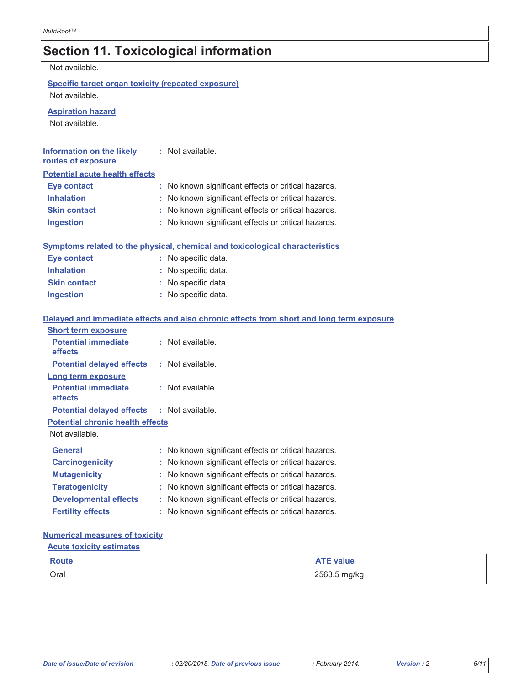# Section 11. Toxicological information

Not available.

Specific target organ toxicity (repeated exposure) Not available.

**Aspiration hazard** 

Not available.

| <b>Information on the likely</b><br>routes of exposure | : Not available.                                                                         |
|--------------------------------------------------------|------------------------------------------------------------------------------------------|
| <b>Potential acute health effects</b>                  |                                                                                          |
| <b>Eye contact</b>                                     | No known significant effects or critical hazards.                                        |
| <b>Inhalation</b>                                      | : No known significant effects or critical hazards.                                      |
| <b>Skin contact</b>                                    | : No known significant effects or critical hazards.                                      |
| <b>Ingestion</b>                                       | No known significant effects or critical hazards.                                        |
|                                                        | Symptoms related to the physical, chemical and toxicological characteristics             |
| <b>Eye contact</b>                                     | : No specific data.                                                                      |
| <b>Inhalation</b>                                      | : No specific data.                                                                      |
| <b>Skin contact</b>                                    | : No specific data.                                                                      |
| Ingestion                                              | : No specific data.                                                                      |
|                                                        | Delayed and immediate effects and also chronic effects from short and long term exposure |
| <b>Short term exposure</b>                             |                                                                                          |
| <b>Potential immediate</b><br>effects                  | : Not available.                                                                         |
| <b>Potential delayed effects</b>                       | : Not available.                                                                         |
| Long term exposure                                     |                                                                                          |
| <b>Potential immediate</b><br>effects                  | : Not available.                                                                         |
| <b>Potential delayed effects</b>                       | : Not available.                                                                         |
| <b>Potential chronic health effects</b>                |                                                                                          |
| Not available.                                         |                                                                                          |
| General                                                | : No known significant effects or critical hazards.                                      |
| <b>Carcinogenicity</b>                                 | No known significant effects or critical hazards.                                        |
| <b>Mutagenicity</b>                                    | : No known significant effects or critical hazards.                                      |
| <b>Teratogenicity</b>                                  | : No known significant effects or critical hazards.                                      |
| <b>Developmental effects</b>                           | : No known significant effects or critical hazards.                                      |
| <b>Fertility effects</b>                               | No known significant effects or critical hazards.                                        |
|                                                        |                                                                                          |

#### **Numerical measures of toxicity**

| <b>Acute toxicity estimates</b> |                  |  |  |
|---------------------------------|------------------|--|--|
| Route                           | <b>ATE value</b> |  |  |
| Oral                            | 2563.5 mg/kg     |  |  |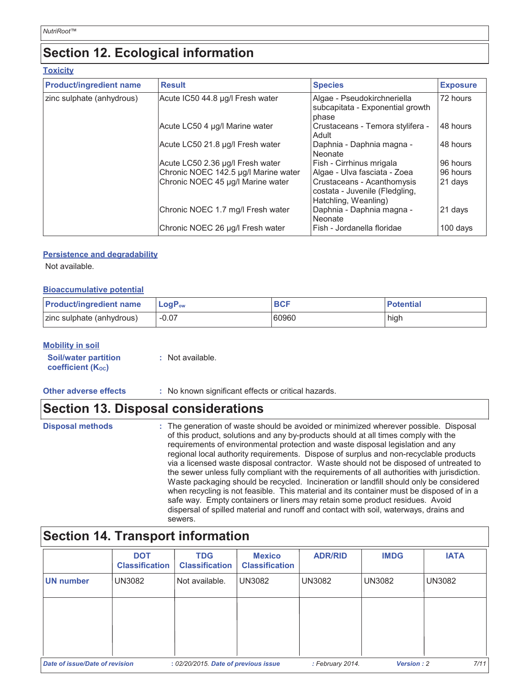### **Section 12. Ecological information**

#### **Toxicity**

| <b>Product/ingredient name</b> | <b>Result</b>                        | <b>Species</b>                                                                       | <b>Exposure</b> |
|--------------------------------|--------------------------------------|--------------------------------------------------------------------------------------|-----------------|
| zinc sulphate (anhydrous)      | Acute IC50 44.8 µg/l Fresh water     | Algae - Pseudokirchneriella<br>subcapitata - Exponential growth<br>phase             | 72 hours        |
|                                | Acute LC50 4 µg/l Marine water       | Crustaceans - Temora stylifera -<br>Adult                                            | 48 hours        |
|                                | Acute LC50 21.8 µg/l Fresh water     | Daphnia - Daphnia magna -<br>Neonate                                                 | 48 hours        |
|                                | Acute LC50 2.36 µg/l Fresh water     | Fish - Cirrhinus mrigala                                                             | 96 hours        |
|                                | Chronic NOEC 142.5 µg/l Marine water | Algae - Ulva fasciata - Zoea                                                         | 96 hours        |
|                                | Chronic NOEC 45 µg/l Marine water    | Crustaceans - Acanthomysis<br>costata - Juvenile (Fledgling,<br>Hatchling, Weanling) | 21 days         |
|                                | Chronic NOEC 1.7 mg/l Fresh water    | Daphnia - Daphnia magna -<br>Neonate                                                 | 21 days         |
|                                | Chronic NOEC 26 µg/l Fresh water     | l Fish - Jordanella floridae                                                         | 100 days        |

#### **Persistence and degradability**

Not available.

#### **Bioaccumulative potential**

| <b>Product/ingredient name</b> | $\mathsf{LogP}_\mathsf{ow}$ |       | <b>Potential</b> |
|--------------------------------|-----------------------------|-------|------------------|
| zinc sulphate (anhydrous)      | $-0.07$                     | 60960 | high             |

#### **Mobility in soil**

| <b>Soil/water partition</b> | : Not available. |
|-----------------------------|------------------|
| <b>coefficient (Koc)</b>    |                  |

| <b>Other adverse effects</b> |  |
|------------------------------|--|
|------------------------------|--|

Other adverse effects : No known significant effects or critical hazards.

### **Section 13. Disposal considerations**

| <b>Disposal methods</b> | : The generation of waste should be avoided or minimized wherever possible. Disposal<br>of this product, solutions and any by-products should at all times comply with the<br>requirements of environmental protection and waste disposal legislation and any<br>regional local authority requirements. Dispose of surplus and non-recyclable products<br>via a licensed waste disposal contractor. Waste should not be disposed of untreated to<br>the sewer unless fully compliant with the requirements of all authorities with jurisdiction.<br>Waste packaging should be recycled. Incineration or landfill should only be considered<br>when recycling is not feasible. This material and its container must be disposed of in a<br>safe way. Empty containers or liners may retain some product residues. Avoid<br>dispersal of spilled material and runoff and contact with soil, waterways, drains and |
|-------------------------|-----------------------------------------------------------------------------------------------------------------------------------------------------------------------------------------------------------------------------------------------------------------------------------------------------------------------------------------------------------------------------------------------------------------------------------------------------------------------------------------------------------------------------------------------------------------------------------------------------------------------------------------------------------------------------------------------------------------------------------------------------------------------------------------------------------------------------------------------------------------------------------------------------------------|
|                         | sewers.                                                                                                                                                                                                                                                                                                                                                                                                                                                                                                                                                                                                                                                                                                                                                                                                                                                                                                         |

### **Section 14. Transport information**

|                                | <b>DOT</b><br><b>Classification</b> | <b>TDG</b><br><b>Classification</b>  | <b>Mexico</b><br><b>Classification</b> | <b>ADR/RID</b>   | <b>IMDG</b>   | <b>IATA</b>   |
|--------------------------------|-------------------------------------|--------------------------------------|----------------------------------------|------------------|---------------|---------------|
| UN number                      | UN3082                              | Not available.                       | <b>UN3082</b>                          | <b>UN3082</b>    | <b>UN3082</b> | <b>UN3082</b> |
|                                |                                     |                                      |                                        |                  |               |               |
|                                |                                     |                                      |                                        |                  |               |               |
| Date of issue/Date of revision |                                     | : 02/20/2015. Date of previous issue |                                        | : February 2014. | Version: 2    | 7/11          |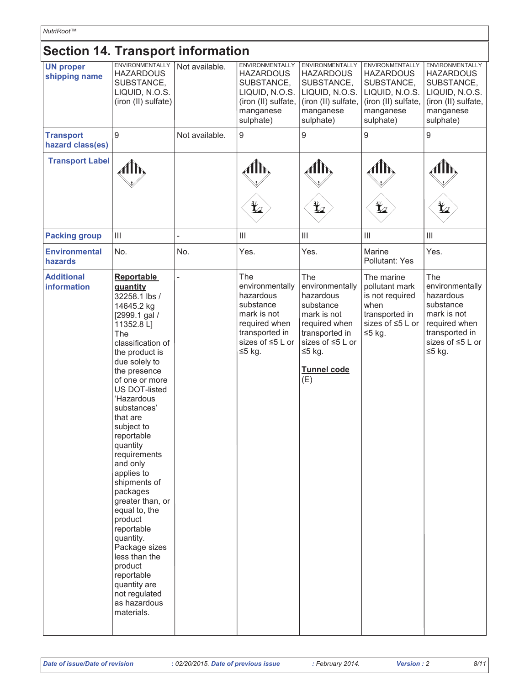| NutriRoot™                               |                                                                                                                                                                                                                                                                                                                                                                                                                                                                                                                                                                           |                |                                                                                                                                        |                                                                                                                                                                 |                                                                                                                             |                                                                                                                                  |
|------------------------------------------|---------------------------------------------------------------------------------------------------------------------------------------------------------------------------------------------------------------------------------------------------------------------------------------------------------------------------------------------------------------------------------------------------------------------------------------------------------------------------------------------------------------------------------------------------------------------------|----------------|----------------------------------------------------------------------------------------------------------------------------------------|-----------------------------------------------------------------------------------------------------------------------------------------------------------------|-----------------------------------------------------------------------------------------------------------------------------|----------------------------------------------------------------------------------------------------------------------------------|
| <b>Section 14. Transport information</b> |                                                                                                                                                                                                                                                                                                                                                                                                                                                                                                                                                                           |                |                                                                                                                                        |                                                                                                                                                                 |                                                                                                                             |                                                                                                                                  |
| <b>UN proper</b><br>shipping name        | ENVIRONMENTALLY<br><b>HAZARDOUS</b><br>SUBSTANCE,<br>LIQUID, N.O.S.<br>(iron (II) sulfate)                                                                                                                                                                                                                                                                                                                                                                                                                                                                                | Not available. | <b>ENVIRONMENTALLY</b><br><b>HAZARDOUS</b><br>SUBSTANCE,<br>LIQUID, N.O.S.<br>(iron (II) sulfate,<br>manganese<br>sulphate)            | <b>ENVIRONMENTALLY</b><br><b>HAZARDOUS</b><br>SUBSTANCE,<br>LIQUID, N.O.S.<br>(iron (II) sulfate,<br>manganese<br>sulphate)                                     | <b>ENVIRONMENTALLY</b><br><b>HAZARDOUS</b><br>SUBSTANCE,<br>LIQUID, N.O.S.<br>(iron (II) sulfate,<br>manganese<br>sulphate) | <b>ENVIRONMENTALLY</b><br><b>HAZARDOUS</b><br>SUBSTANCE,<br>LIQUID, N.O.S.<br>(iron (II) sulfate,<br>manganese<br>sulphate)      |
| <b>Transport</b><br>hazard class(es)     | 9                                                                                                                                                                                                                                                                                                                                                                                                                                                                                                                                                                         | Not available. | $\boldsymbol{9}$                                                                                                                       | 9                                                                                                                                                               | 9                                                                                                                           | 9                                                                                                                                |
| <b>Transport Label</b>                   | đЉ                                                                                                                                                                                                                                                                                                                                                                                                                                                                                                                                                                        |                | ɗՒ,<br>$\mathbf{\mathbf{\mathbf{\mathbf{\Psi}}}}$                                                                                      | $\hat{A}$ lh,<br>$\bigstar$                                                                                                                                     | $\mathcal{A}$ th,<br>$\frac{1}{2}$                                                                                          | ,41h,<br>$\frac{1}{2}$                                                                                                           |
| <b>Packing group</b>                     | $\mathbf{III}$                                                                                                                                                                                                                                                                                                                                                                                                                                                                                                                                                            |                | $\ensuremath{\mathsf{III}}\xspace$                                                                                                     | $\begin{array}{c} \hline \end{array}$                                                                                                                           | $\vert\vert\vert$                                                                                                           | $\mathbf{III}$                                                                                                                   |
| <b>Environmental</b><br>hazards          | No.                                                                                                                                                                                                                                                                                                                                                                                                                                                                                                                                                                       | No.            | Yes.                                                                                                                                   | Yes.                                                                                                                                                            | Marine<br>Pollutant: Yes                                                                                                    | Yes.                                                                                                                             |
| <b>Additional</b><br>information         | Reportable<br>quantity<br>32258.1 lbs /<br>14645.2 kg<br>[2999.1 gal /<br>11352.8 L]<br>The<br>classification of<br>the product is<br>due solely to<br>the presence<br>of one or more<br><b>US DOT-listed</b><br>'Hazardous<br>substances'<br>that are<br>subject to<br>reportable<br>quantity<br>requirements<br>and only<br>applies to<br>shipments of<br>packages<br>greater than, or<br>equal to, the<br>product<br>reportable<br>quantity.<br>Package sizes<br>less than the<br>product<br>reportable<br>quantity are<br>not regulated<br>as hazardous<br>materials. |                | The<br>environmentally<br>hazardous<br>substance<br>mark is not<br>required when<br>transported in<br>sizes of $\leq 5$ L or<br>≤5 kg. | The<br>environmentally<br>hazardous<br>substance<br>mark is not<br>required when<br>transported in<br>sizes of ≤5 L or<br>$≤5$ kg.<br><b>Tunnel code</b><br>(E) | The marine<br>pollutant mark<br>is not required<br>when<br>transported in<br>sizes of ≤5 L or<br>$≤5$ kg.                   | The<br>environmentally<br>hazardous<br>substance<br>mark is not<br>required when<br>transported in<br>sizes of ≤5 L or<br>≤5 kg. |

 $\mathbf{r}$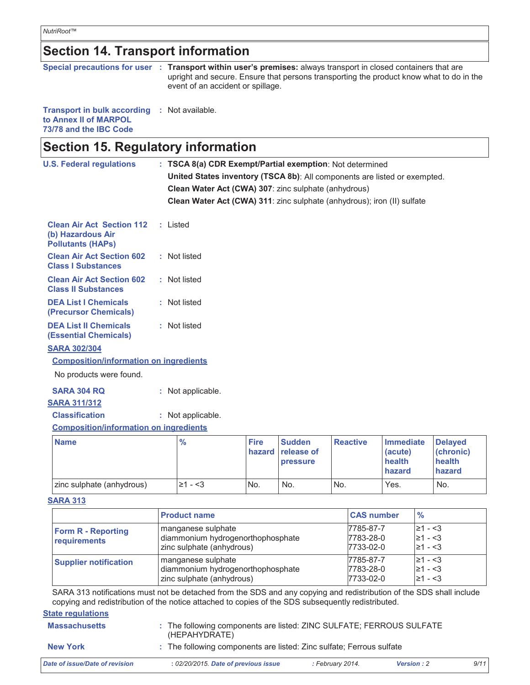# **Section 14. Transport information**

|  | Special precautions for user : Transport within user's premises: always transport in closed containers that are |
|--|-----------------------------------------------------------------------------------------------------------------|
|  | upright and secure. Ensure that persons transporting the product know what to do in the                         |
|  | event of an accident or spillage.                                                                               |
|  |                                                                                                                 |

#### Transport in bulk according : Not available. to Annex II of MARPOL 73/78 and the IBC Code

| Section 15. Regulatory information<br><b>U.S. Federal regulations</b>             |  |                                                                                                                                   |             |               |                 |                  |                |
|-----------------------------------------------------------------------------------|--|-----------------------------------------------------------------------------------------------------------------------------------|-------------|---------------|-----------------|------------------|----------------|
|                                                                                   |  | : TSCA 8(a) CDR Exempt/Partial exemption: Not determined                                                                          |             |               |                 |                  |                |
|                                                                                   |  | United States inventory (TSCA 8b): All components are listed or exempted.<br>Clean Water Act (CWA) 307: zinc sulphate (anhydrous) |             |               |                 |                  |                |
|                                                                                   |  |                                                                                                                                   |             |               |                 |                  |                |
|                                                                                   |  | Clean Water Act (CWA) 311: zinc sulphate (anhydrous); iron (II) sulfate                                                           |             |               |                 |                  |                |
| <b>Clean Air Act Section 112</b><br>(b) Hazardous Air<br><b>Pollutants (HAPs)</b> |  | : Listed                                                                                                                          |             |               |                 |                  |                |
| <b>Clean Air Act Section 602</b><br><b>Class I Substances</b>                     |  | : Not listed                                                                                                                      |             |               |                 |                  |                |
| <b>Clean Air Act Section 602</b><br><b>Class II Substances</b>                    |  | : Not listed                                                                                                                      |             |               |                 |                  |                |
| <b>DEA List I Chemicals</b><br>(Precursor Chemicals)                              |  | : Not listed                                                                                                                      |             |               |                 |                  |                |
| <b>DEA List II Chemicals</b><br><b>(Essential Chemicals)</b>                      |  | : Not listed                                                                                                                      |             |               |                 |                  |                |
| <b>SARA 302/304</b><br><b>Composition/information on ingredients</b>              |  |                                                                                                                                   |             |               |                 |                  |                |
| No products were found.                                                           |  |                                                                                                                                   |             |               |                 |                  |                |
|                                                                                   |  |                                                                                                                                   |             |               |                 |                  |                |
| <b>SARA 304 RQ</b>                                                                |  | : Not applicable.                                                                                                                 |             |               |                 |                  |                |
| <b>SARA 311/312</b><br><b>Classification</b>                                      |  |                                                                                                                                   |             |               |                 |                  |                |
|                                                                                   |  | : Not applicable.                                                                                                                 |             |               |                 |                  |                |
| <b>Composition/information on ingredients</b>                                     |  |                                                                                                                                   |             |               |                 |                  |                |
| <b>Name</b>                                                                       |  | $\frac{9}{6}$                                                                                                                     | <b>Fire</b> | <b>Sudden</b> | <b>Reactive</b> | <b>Immediate</b> | <b>Delayed</b> |

| l Name                    | "⁄o      | <b>Fire</b> | I Sudden i<br>hazard release of<br><b>pressure</b> | Reactive | <b>Timmediate</b><br>(acute)<br>health<br>hazard | <b>I</b> Delaved<br>(chronic)<br>health<br>hazard |
|---------------------------|----------|-------------|----------------------------------------------------|----------|--------------------------------------------------|---------------------------------------------------|
| zinc sulphate (anhydrous) | l≥1 - <3 | 'No.        | No.                                                | No.      | Yes.                                             | No.                                               |

#### **SARA 313**

|                                           | <b>Product name</b>                                                                  | <b>CAS number</b>                   | $\frac{0}{0}$                                |
|-------------------------------------------|--------------------------------------------------------------------------------------|-------------------------------------|----------------------------------------------|
| <b>Form R - Reporting</b><br>requirements | manganese sulphate<br>diammonium hydrogenorthophosphate<br>zinc sulphate (anhydrous) | 7785-87-7<br>7783-28-0<br>7733-02-0 | $\geq 1 - 3$<br>$\geq 1 - 3$<br>$\geq 1 - 3$ |
| <b>Supplier notification</b>              | manganese sulphate<br>diammonium hydrogenorthophosphate<br>zinc sulphate (anhydrous) | 7785-87-7<br>7783-28-0<br>7733-02-0 | $\geq 1 - 3$<br>$\geq 1 - 3$<br>$\geq 1 - 3$ |

SARA 313 notifications must not be detached from the SDS and any copying and redistribution of the SDS shall include copying and redistribution of the notice attached to copies of the SDS subsequently redistributed.

 $9/11$ 

#### **State regulations**

| <b>Massachusetts</b>           | : The following components are listed: ZINC SULFATE; FERROUS SULFATE<br>(HEPAHYDRATE) |                  |                   |  |
|--------------------------------|---------------------------------------------------------------------------------------|------------------|-------------------|--|
| <b>New York</b>                | : The following components are listed: Zinc sulfate; Ferrous sulfate                  |                  |                   |  |
| Date of issue/Date of revision | : 02/20/2015. Date of previous issue                                                  | : February 2014. | <b>Version: 2</b> |  |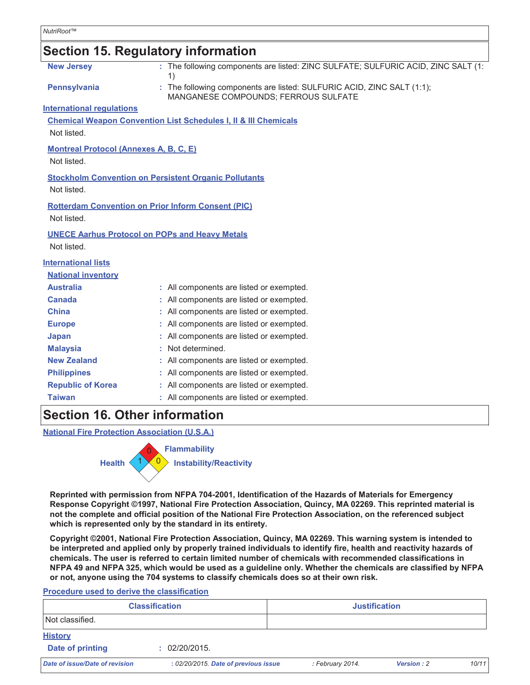### **Section 15. Regulatory information**

| <b>New Jersey</b>                             | : The following components are listed: ZINC SULFATE; SULFURIC ACID, ZINC SALT (1:<br>1)                        |
|-----------------------------------------------|----------------------------------------------------------------------------------------------------------------|
| <b>Pennsylvania</b>                           | : The following components are listed: SULFURIC ACID, ZINC SALT (1:1);<br>MANGANESE COMPOUNDS; FERROUS SULFATE |
| <b>International regulations</b>              |                                                                                                                |
|                                               | <b>Chemical Weapon Convention List Schedules I, II &amp; III Chemicals</b>                                     |
| Not listed.                                   |                                                                                                                |
| <b>Montreal Protocol (Annexes A, B, C, E)</b> |                                                                                                                |
| Not listed.                                   |                                                                                                                |
|                                               | <b>Stockholm Convention on Persistent Organic Pollutants</b>                                                   |
| Not listed.                                   |                                                                                                                |
|                                               | <b>Rotterdam Convention on Prior Inform Consent (PIC)</b>                                                      |
| Not listed.                                   |                                                                                                                |
|                                               | <b>UNECE Aarhus Protocol on POPs and Heavy Metals</b>                                                          |
| Not listed.                                   |                                                                                                                |
| <b>International lists</b>                    |                                                                                                                |
| <b>National inventory</b>                     |                                                                                                                |
| <b>Australia</b>                              | : All components are listed or exempted.                                                                       |
| <b>Canada</b>                                 | : All components are listed or exempted.                                                                       |
| <b>China</b>                                  | : All components are listed or exempted.                                                                       |
| <b>Europe</b>                                 | : All components are listed or exempted.                                                                       |
| Japan                                         | : All components are listed or exempted.                                                                       |
| <b>Malaysia</b>                               | : Not determined.                                                                                              |
| <b>New Zealand</b>                            | : All components are listed or exempted.                                                                       |
| <b>Philippines</b>                            | : All components are listed or exempted.                                                                       |
| <b>Republic of Korea</b>                      | : All components are listed or exempted.                                                                       |
| <b>Taiwan</b>                                 | : All components are listed or exempted.                                                                       |
| <b>Section 16, Other information</b>          |                                                                                                                |

**National Fire Protection Association (U.S.A.)** 



Reprinted with permission from NFPA 704-2001, Identification of the Hazards of Materials for Emergency Response Copyright ©1997, National Fire Protection Association, Quincy, MA 02269. This reprinted material is not the complete and official position of the National Fire Protection Association, on the referenced subject which is represented only by the standard in its entirety.

Copyright ©2001, National Fire Protection Association, Quincy, MA 02269. This warning system is intended to be interpreted and applied only by properly trained individuals to identify fire, health and reactivity hazards of chemicals. The user is referred to certain limited number of chemicals with recommended classifications in NFPA 49 and NFPA 325, which would be used as a guideline only. Whether the chemicals are classified by NFPA or not, anyone using the 704 systems to classify chemicals does so at their own risk.

Procedure used to derive the classification

| <b>Classification</b>          |                                      | <b>Justification</b> |                  |            |       |
|--------------------------------|--------------------------------------|----------------------|------------------|------------|-------|
| Not classified.                |                                      |                      |                  |            |       |
| <b>History</b>                 |                                      |                      |                  |            |       |
| Date of printing               | : 02/20/2015.                        |                      |                  |            |       |
| Date of issue/Date of revision | : 02/20/2015. Date of previous issue |                      | : February 2014. | Version: 2 | 10/11 |